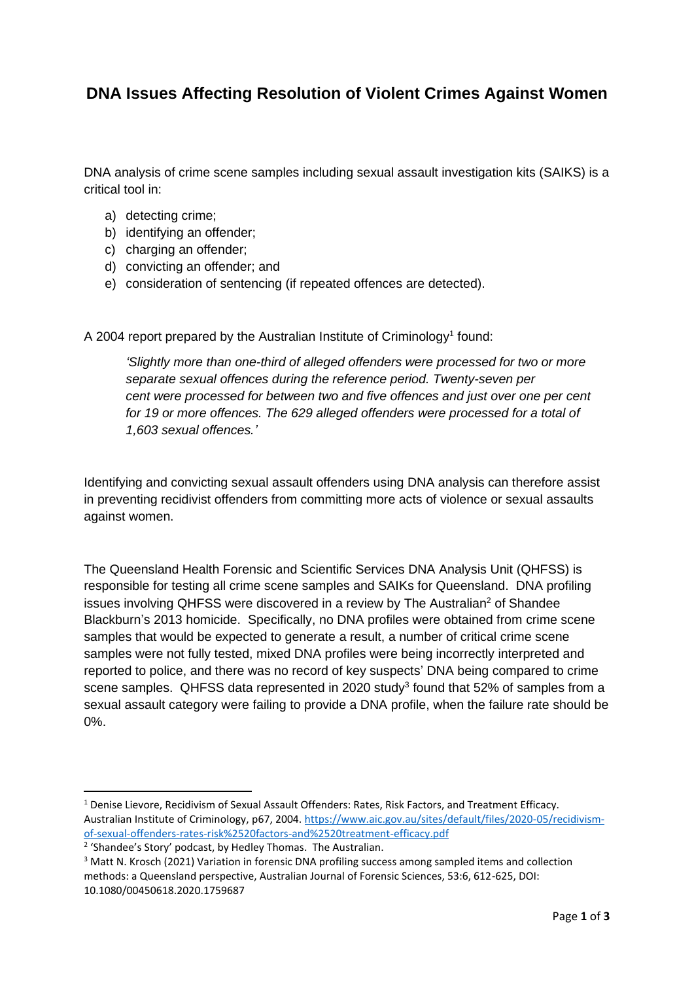## **DNA Issues Affecting Resolution of Violent Crimes Against Women**

DNA analysis of crime scene samples including sexual assault investigation kits (SAIKS) is a critical tool in:

- a) detecting crime;
- b) identifying an offender;
- c) charging an offender;
- d) convicting an offender; and
- e) consideration of sentencing (if repeated offences are detected).

A 2004 report prepared by the Australian Institute of Criminology<sup>1</sup> found:

*'Slightly more than one-third of alleged offenders were processed for two or more separate sexual offences during the reference period. Twenty-seven per cent were processed for between two and five offences and just over one per cent for 19 or more offences. The 629 alleged offenders were processed for a total of 1,603 sexual offences.'*

Identifying and convicting sexual assault offenders using DNA analysis can therefore assist in preventing recidivist offenders from committing more acts of violence or sexual assaults against women.

The Queensland Health Forensic and Scientific Services DNA Analysis Unit (QHFSS) is responsible for testing all crime scene samples and SAIKs for Queensland. DNA profiling issues involving QHFSS were discovered in a review by The Australian<sup>2</sup> of Shandee Blackburn's 2013 homicide. Specifically, no DNA profiles were obtained from crime scene samples that would be expected to generate a result, a number of critical crime scene samples were not fully tested, mixed DNA profiles were being incorrectly interpreted and reported to police, and there was no record of key suspects' DNA being compared to crime scene samples. QHFSS data represented in 2020 study<sup>3</sup> found that 52% of samples from a sexual assault category were failing to provide a DNA profile, when the failure rate should be 0%.

 $1$  Denise Lievore, Recidivism of Sexual Assault Offenders: Rates, Risk Factors, and Treatment Efficacy. Australian Institute of Criminology, p67, 2004. [https://www.aic.gov.au/sites/default/files/2020-05/recidivism](https://www.aic.gov.au/sites/default/files/2020-05/recidivism-of-sexual-offenders-rates-risk%2520factors-and%2520treatment-efficacy.pdf)[of-sexual-offenders-rates-risk%2520factors-and%2520treatment-efficacy.pdf](https://www.aic.gov.au/sites/default/files/2020-05/recidivism-of-sexual-offenders-rates-risk%2520factors-and%2520treatment-efficacy.pdf)

<sup>&</sup>lt;sup>2</sup> 'Shandee's Story' podcast, by Hedley Thomas. The Australian.

<sup>&</sup>lt;sup>3</sup> Matt N. Krosch (2021) Variation in forensic DNA profiling success among sampled items and collection methods: a Queensland perspective, Australian Journal of Forensic Sciences, 53:6, 612-625, DOI: 10.1080/00450618.2020.1759687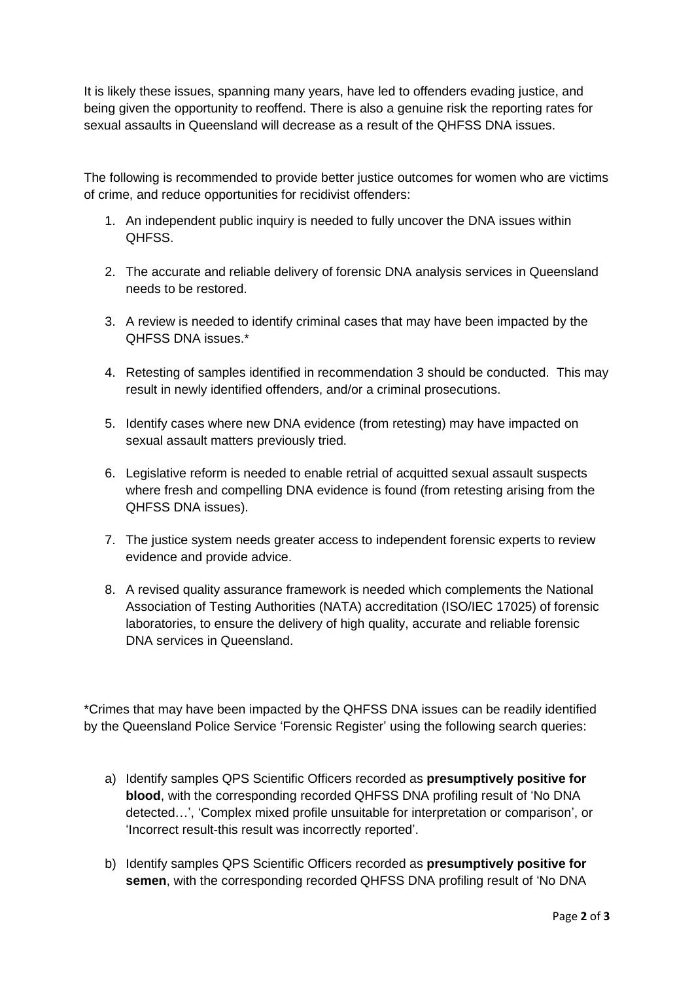It is likely these issues, spanning many years, have led to offenders evading justice, and being given the opportunity to reoffend. There is also a genuine risk the reporting rates for sexual assaults in Queensland will decrease as a result of the QHFSS DNA issues.

The following is recommended to provide better justice outcomes for women who are victims of crime, and reduce opportunities for recidivist offenders:

- 1. An independent public inquiry is needed to fully uncover the DNA issues within QHFSS.
- 2. The accurate and reliable delivery of forensic DNA analysis services in Queensland needs to be restored.
- 3. A review is needed to identify criminal cases that may have been impacted by the QHFSS DNA issues.\*
- 4. Retesting of samples identified in recommendation 3 should be conducted. This may result in newly identified offenders, and/or a criminal prosecutions.
- 5. Identify cases where new DNA evidence (from retesting) may have impacted on sexual assault matters previously tried.
- 6. Legislative reform is needed to enable retrial of acquitted sexual assault suspects where fresh and compelling DNA evidence is found (from retesting arising from the QHFSS DNA issues).
- 7. The justice system needs greater access to independent forensic experts to review evidence and provide advice.
- 8. A revised quality assurance framework is needed which complements the National Association of Testing Authorities (NATA) accreditation (ISO/IEC 17025) of forensic laboratories, to ensure the delivery of high quality, accurate and reliable forensic DNA services in Queensland.

\*Crimes that may have been impacted by the QHFSS DNA issues can be readily identified by the Queensland Police Service 'Forensic Register' using the following search queries:

- a) Identify samples QPS Scientific Officers recorded as **presumptively positive for blood**, with the corresponding recorded QHFSS DNA profiling result of 'No DNA detected…', 'Complex mixed profile unsuitable for interpretation or comparison', or 'Incorrect result-this result was incorrectly reported'.
- b) Identify samples QPS Scientific Officers recorded as **presumptively positive for semen**, with the corresponding recorded QHFSS DNA profiling result of 'No DNA